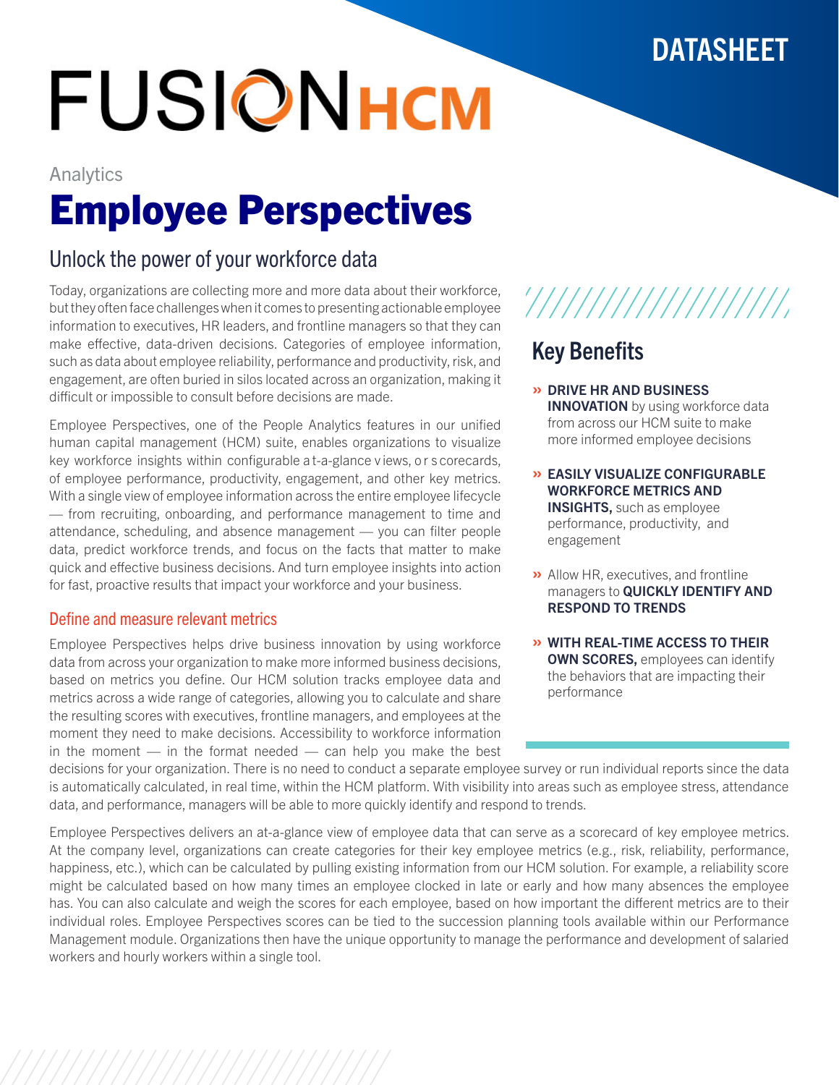## **DATASHEET**

# **FUSIONHCM**

# Analytics Employee Perspectives

### Unlock the power of your workforce data

Today, organizations are collecting more and more data about their workforce, but they often face challenges when it comes to presenting actionable employee information to executives, HR leaders, and frontline managers so that they can make effective, data-driven decisions. Categories of employee information, such as data about employee reliability, performance and productivity, risk, and engagement, are often buried in silos located across an organization, making it difficult or impossible to consult before decisions are made.

Employee Perspectives, one of the People Analytics features in our unified human capital management (HCM) suite, enables organizations to visualize key workforce insights within configurable a t-a-glance v iews, o r s corecards, of employee performance, productivity, engagement, and other key metrics. With a single view of employee information across the entire employee lifecycle — from recruiting, onboarding, and performance management to time and attendance, scheduling, and absence management — you can filter people data, predict workforce trends, and focus on the facts that matter to make quick and effective business decisions. And turn employee insights into action for fast, proactive results that impact your workforce and your business.

#### Define and measure relevant metrics

Employee Perspectives helps drive business innovation by using workforce data from across your organization to make more informed business decisions, based on metrics you define. Our HCM solution tracks employee data and metrics across a wide range of categories, allowing you to calculate and share the resulting scores with executives, frontline managers, and employees at the moment they need to make decisions. Accessibility to workforce information in the moment  $-$  in the format needed  $-$  can help you make the best



## Key Benefits

- » DRIVE HR AND BUSINESS **INNOVATION** by using workforce data from across our HCM suite to make more informed employee decisions
- » EASILY VISUALIZE CONFIGURABLE WORKFORCE METRICS AND **INSIGHTS, such as employee** performance, productivity, and engagement
- » Allow HR, executives, and frontline managers to **QUICKLY IDENTIFY AND** RESPOND TO TRENDS
- » WITH REAL-TIME ACCESS TO THEIR **OWN SCORES, employees can identify** the behaviors that are impacting their performance

decisions for your organization. There is no need to conduct a separate employee survey or run individual reports since the data is automatically calculated, in real time, within the HCM platform. With visibility into areas such as employee stress, attendance data, and performance, managers will be able to more quickly identify and respond to trends.

Employee Perspectives delivers an at-a-glance view of employee data that can serve as a scorecard of key employee metrics. At the company level, organizations can create categories for their key employee metrics (e.g., risk, reliability, performance, happiness, etc.), which can be calculated by pulling existing information from our HCM solution. For example, a reliability score might be calculated based on how many times an employee clocked in late or early and how many absences the employee has. You can also calculate and weigh the scores for each employee, based on how important the different metrics are to their individual roles. Employee Perspectives scores can be tied to the succession planning tools available within our Performance Management module. Organizations then have the unique opportunity to manage the performance and development of salaried workers and hourly workers within a single tool.